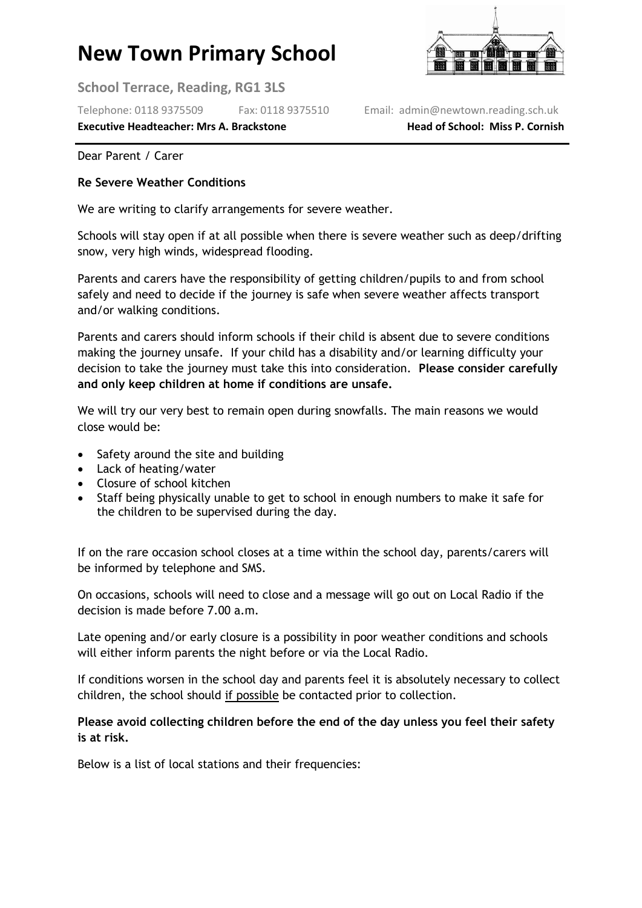# **New Town Primary School**

**School Terrace, Reading, RG1 3LS**

Telephone: 0118 9375509 Fax: 0118 9375510 Email: admin@newtown.reading.sch.uk

**Executive Headteacher: Mrs A. Brackstone entity and Head of School: Miss P. Cornish** 

Dear Parent / Carer

#### **Re Severe Weather Conditions**

We are writing to clarify arrangements for severe weather.

Schools will stay open if at all possible when there is severe weather such as deep/drifting snow, very high winds, widespread flooding.

Parents and carers have the responsibility of getting children/pupils to and from school safely and need to decide if the journey is safe when severe weather affects transport and/or walking conditions.

Parents and carers should inform schools if their child is absent due to severe conditions making the journey unsafe. If your child has a disability and/or learning difficulty your decision to take the journey must take this into consideration. **Please consider carefully and only keep children at home if conditions are unsafe.**

We will try our very best to remain open during snowfalls. The main reasons we would close would be:

- Safety around the site and building
- Lack of heating/water
- Closure of school kitchen
- Staff being physically unable to get to school in enough numbers to make it safe for the children to be supervised during the day.

If on the rare occasion school closes at a time within the school day, parents/carers will be informed by telephone and SMS.

On occasions, schools will need to close and a message will go out on Local Radio if the decision is made before 7.00 a.m.

Late opening and/or early closure is a possibility in poor weather conditions and schools will either inform parents the night before or via the Local Radio.

If conditions worsen in the school day and parents feel it is absolutely necessary to collect children, the school should if possible be contacted prior to collection.

### **Please avoid collecting children before the end of the day unless you feel their safety is at risk.**

Below is a list of local stations and their frequencies: